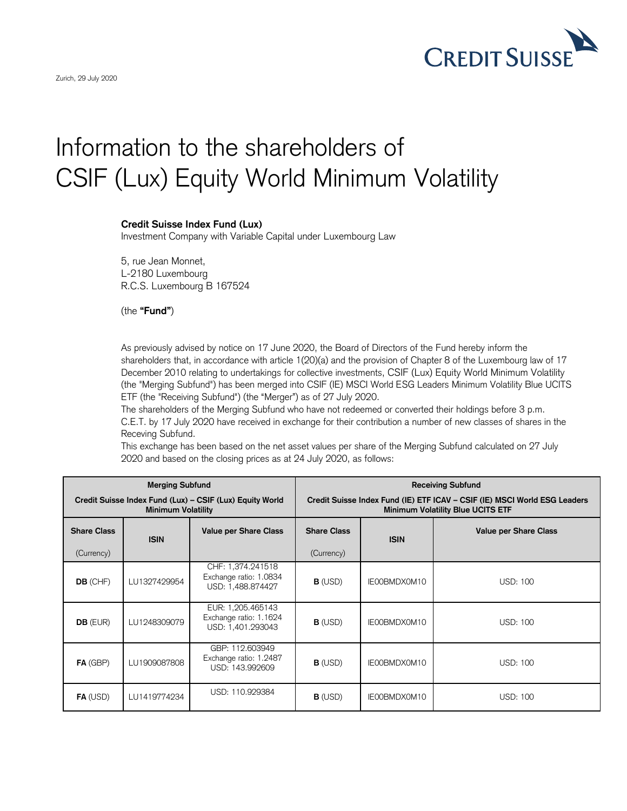

## Information to the shareholders of CSIF (Lux) Equity World Minimum Volatility

## **Credit Suisse Index Fund (Lux)**

Investment Company with Variable Capital under Luxembourg Law

5, rue Jean Monnet, L-2180 Luxembourg R.C.S. Luxembourg B 167524

(the **"Fund"**)

As previously advised by notice on 17 June 2020, the Board of Directors of the Fund hereby inform the shareholders that, in accordance with article 1(20)(a) and the provision of Chapter 8 of the Luxembourg law of 17 December 2010 relating to undertakings for collective investments, CSIF (Lux) Equity World Minimum Volatility (the "Merging Subfund") has been merged into CSIF (IE) MSCI World ESG Leaders Minimum Volatility Blue UCITS ETF (the "Receiving Subfund") (the "Merger") as of 27 July 2020.

The shareholders of the Merging Subfund who have not redeemed or converted their holdings before 3 p.m. C.E.T. by 17 July 2020 have received in exchange for their contribution a number of new classes of shares in the Receving Subfund.

This exchange has been based on the net asset values per share of the Merging Subfund calculated on 27 July 2020 and based on the closing prices as at 24 July 2020, as follows:

| <b>Merging Subfund</b>                                                                |              |                                                                  | <b>Receiving Subfund</b>                                                                                              |              |                              |
|---------------------------------------------------------------------------------------|--------------|------------------------------------------------------------------|-----------------------------------------------------------------------------------------------------------------------|--------------|------------------------------|
| Credit Suisse Index Fund (Lux) - CSIF (Lux) Equity World<br><b>Minimum Volatility</b> |              |                                                                  | Credit Suisse Index Fund (IE) ETF ICAV - CSIF (IE) MSCI World ESG Leaders<br><b>Minimum Volatility Blue UCITS ETF</b> |              |                              |
| <b>Share Class</b>                                                                    | <b>ISIN</b>  | <b>Value per Share Class</b>                                     | <b>Share Class</b>                                                                                                    | <b>ISIN</b>  | <b>Value per Share Class</b> |
| (Currency)                                                                            |              |                                                                  | (Currency)                                                                                                            |              |                              |
| DB (CHF)                                                                              | LU1327429954 | CHF: 1,374.241518<br>Exchange ratio: 1.0834<br>USD: 1,488.874427 | $B$ (USD)                                                                                                             | IE00BMDX0M10 | <b>USD: 100</b>              |
| <b>DB</b> (EUR)                                                                       | LU1248309079 | EUR: 1,205.465143<br>Exchange ratio: 1.1624<br>USD: 1,401.293043 | $B$ (USD)                                                                                                             | IE00BMDX0M10 | <b>USD: 100</b>              |
| FA (GBP)                                                                              | LU1909087808 | GBP: 112.603949<br>Exchange ratio: 1.2487<br>USD: 143.992609     | $B$ (USD)                                                                                                             | IE00BMDX0M10 | <b>USD: 100</b>              |
| $FA$ (USD)                                                                            | LU1419774234 | USD: 110.929384                                                  | $B$ (USD)                                                                                                             | IE00BMDX0M10 | <b>USD: 100</b>              |